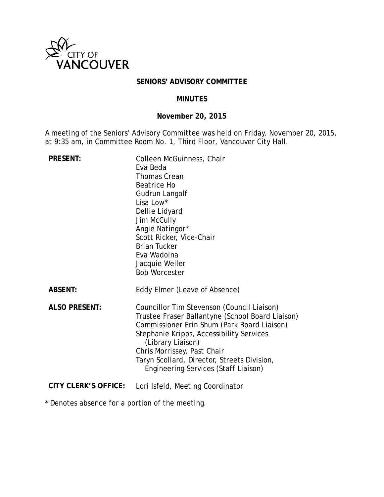

### **SENIORS' ADVISORY COMMITTEE**

#### **MINUTES**

## **November 20, 2015**

A meeting of the Seniors' Advisory Committee was held on Friday, November 20, 2015, at 9:35 am, in Committee Room No. 1, Third Floor, Vancouver City Hall.

| <b>PRESENT:</b>             | Colleen McGuinness, Chair<br>Eva Beda<br><b>Thomas Crean</b><br><b>Beatrice Ho</b><br>Gudrun Langolf<br>Lisa Low*<br>Dellie Lidyard<br>Jim McCully<br>Angie Natingor*<br>Scott Ricker, Vice-Chair<br><b>Brian Tucker</b><br>Eva Wadolna<br>Jacquie Weiler<br><b>Bob Worcester</b>                                                           |
|-----------------------------|---------------------------------------------------------------------------------------------------------------------------------------------------------------------------------------------------------------------------------------------------------------------------------------------------------------------------------------------|
| <b>ABSENT:</b>              | Eddy Elmer (Leave of Absence)                                                                                                                                                                                                                                                                                                               |
| <b>ALSO PRESENT:</b>        | Councillor Tim Stevenson (Council Liaison)<br>Trustee Fraser Ballantyne (School Board Liaison)<br>Commissioner Erin Shum (Park Board Liaison)<br>Stephanie Kripps, Accessibility Services<br>(Library Liaison)<br>Chris Morrissey, Past Chair<br>Taryn Scollard, Director, Streets Division,<br><b>Engineering Services (Staff Liaison)</b> |
| <b>CITY CLERK'S OFFICE:</b> | Lori Isfeld, Meeting Coordinator                                                                                                                                                                                                                                                                                                            |

\* Denotes absence for a portion of the meeting.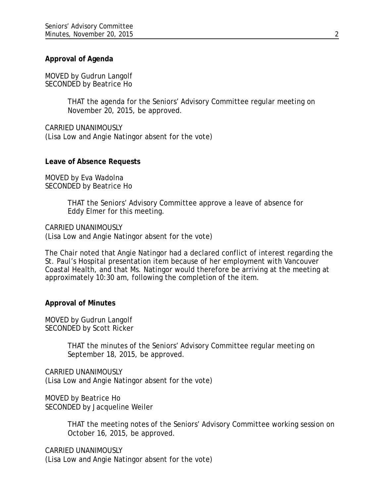### **Approval of Agenda**

MOVED by Gudrun Langolf SECONDED by Beatrice Ho

> THAT the agenda for the Seniors' Advisory Committee regular meeting on November 20, 2015, be approved.

CARRIED UNANIMOUSLY (Lisa Low and Angie Natingor absent for the vote)

#### **Leave of Absence Requests**

MOVED by Eva Wadolna SECONDED by Beatrice Ho

> THAT the Seniors' Advisory Committee approve a leave of absence for Eddy Elmer for this meeting.

CARRIED UNANIMOUSLY (Lisa Low and Angie Natingor absent for the vote)

The Chair noted that Angie Natingor had a declared conflict of interest regarding the St. Paul's Hospital presentation item because of her employment with Vancouver Coastal Health, and that Ms. Natingor would therefore be arriving at the meeting at approximately 10:30 am, following the completion of the item.

#### **Approval of Minutes**

MOVED by Gudrun Langolf SECONDED by Scott Ricker

> THAT the minutes of the Seniors' Advisory Committee regular meeting on September 18, 2015, be approved.

CARRIED UNANIMOUSLY (Lisa Low and Angie Natingor absent for the vote)

MOVED by Beatrice Ho SECONDED by Jacqueline Weiler

> THAT the meeting notes of the Seniors' Advisory Committee working session on October 16, 2015, be approved.

CARRIED UNANIMOUSLY (Lisa Low and Angie Natingor absent for the vote)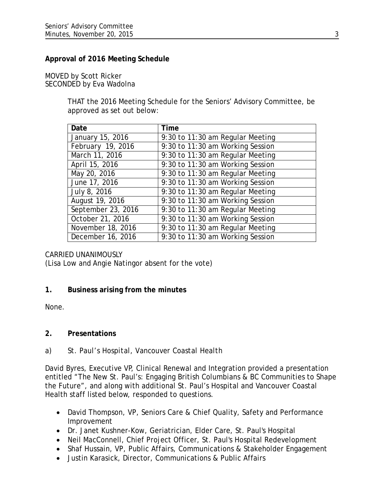## **Approval of 2016 Meeting Schedule**

### MOVED by Scott Ricker SECONDED by Eva Wadolna

THAT the 2016 Meeting Schedule for the Seniors' Advisory Committee, be approved as set out below:

| Date               | <b>Time</b>                      |
|--------------------|----------------------------------|
| January 15, 2016   | 9:30 to 11:30 am Regular Meeting |
| February 19, 2016  | 9:30 to 11:30 am Working Session |
| March 11, 2016     | 9:30 to 11:30 am Regular Meeting |
| April 15, 2016     | 9:30 to 11:30 am Working Session |
| May 20, 2016       | 9:30 to 11:30 am Regular Meeting |
| June 17, 2016      | 9:30 to 11:30 am Working Session |
| July 8, 2016       | 9:30 to 11:30 am Regular Meeting |
| August 19, 2016    | 9:30 to 11:30 am Working Session |
| September 23, 2016 | 9:30 to 11:30 am Regular Meeting |
| October 21, 2016   | 9:30 to 11:30 am Working Session |
| November 18, 2016  | 9:30 to 11:30 am Regular Meeting |
| December 16, 2016  | 9:30 to 11:30 am Working Session |

### CARRIED UNANIMOUSLY

(Lisa Low and Angie Natingor absent for the vote)

### **1. Business arising from the minutes**

None.

### **2. Presentations**

### *a) St. Paul's Hospital, Vancouver Coastal Health*

David Byres, Executive VP, Clinical Renewal and Integration provided a presentation entitled "The New St. Paul's: Engaging British Columbians & BC Communities to Shape the Future", and along with additional St. Paul's Hospital and Vancouver Coastal Health staff listed below, responded to questions.

- David Thompson, VP, Seniors Care & Chief Quality, Safety and Performance Improvement
- Dr. Janet Kushner-Kow, Geriatrician, Elder Care, St. Paul's Hospital
- Neil MacConnell, Chief Project Officer, St. Paul's Hospital Redevelopment
- Shaf Hussain, VP, Public Affairs, Communications & Stakeholder Engagement
- Justin Karasick, Director, Communications & Public Affairs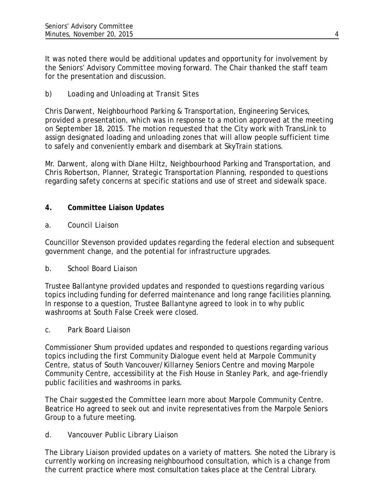It was noted there would be additional updates and opportunity for involvement by the Seniors' Advisory Committee moving forward. The Chair thanked the staff team for the presentation and discussion.

# *b) Loading and Unloading at Transit Sites*

Chris Darwent, Neighbourhood Parking & Transportation, Engineering Services, provided a presentation, which was in response to a motion approved at the meeting on September 18, 2015. The motion requested that the City work with TransLink to assign designated loading and unloading zones that will allow people sufficient time to safely and conveniently embark and disembark at SkyTrain stations.

Mr. Darwent, along with Diane Hiltz, Neighbourhood Parking and Transportation, and Chris Robertson, Planner, Strategic Transportation Planning, responded to questions regarding safety concerns at specific stations and use of street and sidewalk space.

# **4. Committee Liaison Updates**

## *a. Council Liaison*

Councillor Stevenson provided updates regarding the federal election and subsequent government change, and the potential for infrastructure upgrades.

# *b. School Board Liaison*

Trustee Ballantyne provided updates and responded to questions regarding various topics including funding for deferred maintenance and long range facilities planning. In response to a question, Trustee Ballantyne agreed to look in to why public washrooms at South False Creek were closed.

### *c. Park Board Liaison*

Commissioner Shum provided updates and responded to questions regarding various topics including the first Community Dialogue event held at Marpole Community Centre, status of South Vancouver/Killarney Seniors Centre and moving Marpole Community Centre, accessibility at the Fish House in Stanley Park, and age-friendly public facilities and washrooms in parks.

The Chair suggested the Committee learn more about Marpole Community Centre. Beatrice Ho agreed to seek out and invite representatives from the Marpole Seniors Group to a future meeting.

# *d. Vancouver Public Library Liaison*

The Library Liaison provided updates on a variety of matters. She noted the Library is currently working on increasing neighbourhood consultation, which is a change from the current practice where most consultation takes place at the Central Library.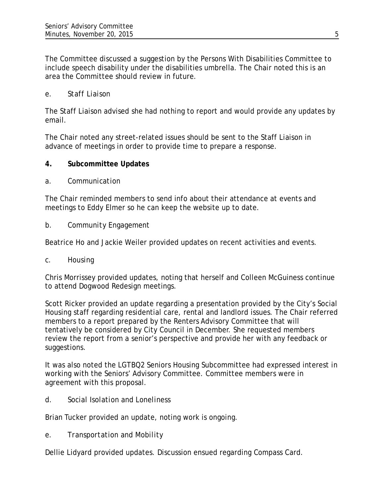The Committee discussed a suggestion by the Persons With Disabilities Committee to include speech disability under the disabilities umbrella. The Chair noted this is an area the Committee should review in future.

## *e. Staff Liaison*

The Staff Liaison advised she had nothing to report and would provide any updates by email.

The Chair noted any street-related issues should be sent to the Staff Liaison in advance of meetings in order to provide time to prepare a response.

## **4. Subcommittee Updates**

## *a. Communication*

The Chair reminded members to send info about their attendance at events and meetings to Eddy Elmer so he can keep the website up to date.

## *b. Community Engagement*

Beatrice Ho and Jackie Weiler provided updates on recent activities and events.

### *c. Housing*

Chris Morrissey provided updates, noting that herself and Colleen McGuiness continue to attend Dogwood Redesign meetings.

Scott Ricker provided an update regarding a presentation provided by the City's Social Housing staff regarding residential care, rental and landlord issues. The Chair referred members to a report prepared by the Renters Advisory Committee that will tentatively be considered by City Council in December. She requested members review the report from a senior's perspective and provide her with any feedback or suggestions.

It was also noted the LGTBQ2 Seniors Housing Subcommittee had expressed interest in working with the Seniors' Advisory Committee. Committee members were in agreement with this proposal.

# d. *Social Isolation and Loneliness*

Brian Tucker provided an update, noting work is ongoing.

*e. Transportation and Mobility*

Dellie Lidyard provided updates. Discussion ensued regarding Compass Card.